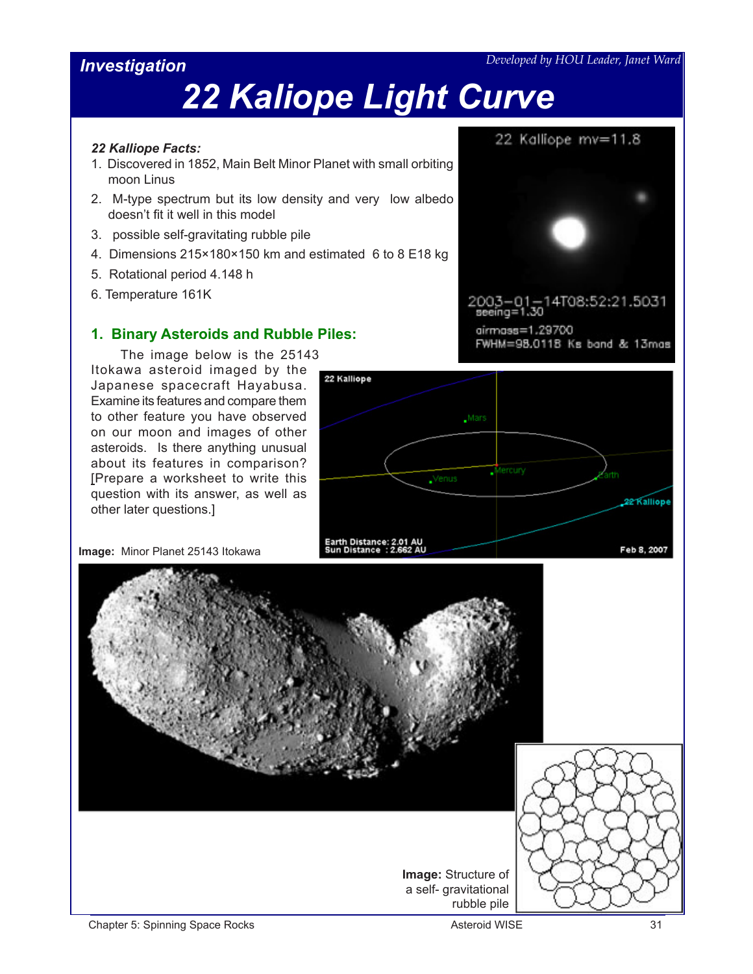# *Investigation*

# *22 Kaliope Light Curve*

#### *22 Kalliope Facts:*

- 1. Discovered in 1852, Main Belt Minor Planet with small orbiting moon Linus
- 2. M-type spectrum but its low density and very low albedo doesn't fit it well in this model
- 3. possible self-gravitating rubble pile
- 4. Dimensions 215×180×150 km and estimated 6 to 8 E18 kg
- 5. Rotational period 4.148 h
- 6. Temperature 161K

### **1. Binary Asteroids and Rubble Piles:**

The image below is the 25143 Itokawa asteroid imaged by the Japanese spacecraft Hayabusa. Examine its features and compare them to other feature you have observed on our moon and images of other asteroids. Is there anything unusual about its features in comparison? [Prepare a worksheet to write this question with its answer, as well as other later questions.]



**Image:** Minor Planet 25143 Itokawa





2003-01-14T08:52:21.5031<br>seeing=1.30

airmass=1,29700 FWHM=98.0118 Ks band & 13mas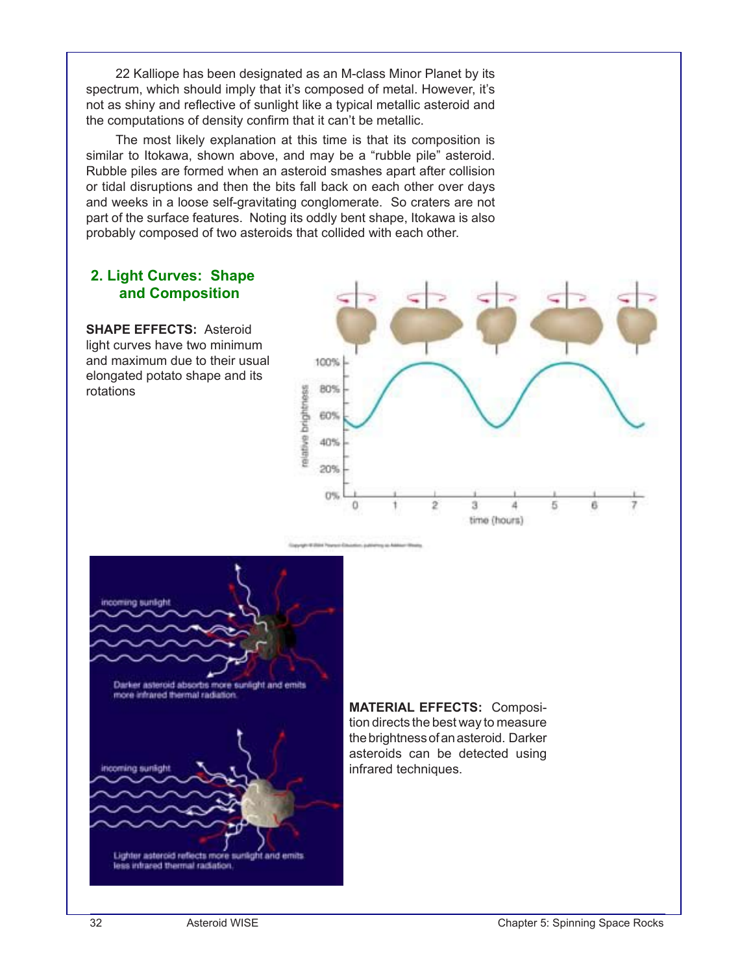22 Kalliope has been designated as an M-class Minor Planet by its spectrum, which should imply that it's composed of metal. However, it's not as shiny and reflective of sunlight like a typical metallic asteroid and the computations of density confirm that it can't be metallic.

The most likely explanation at this time is that its composition is similar to Itokawa, shown above, and may be a "rubble pile" asteroid. Rubble piles are formed when an asteroid smashes apart after collision or tidal disruptions and then the bits fall back on each other over days and weeks in a loose self-gravitating conglomerate. So craters are not part of the surface features. Noting its oddly bent shape, Itokawa is also probably composed of two asteroids that collided with each other.

## **2. Light Curves: Shape and Composition**

**SHAPE EFFECTS:** Asteroid light curves have two minimum and maximum due to their usual elongated potato shape and its rotations





**MATERIAL EFFECTS:** Composition directs the best way to measure the brightness of an asteroid. Darker asteroids can be detected using infrared techniques.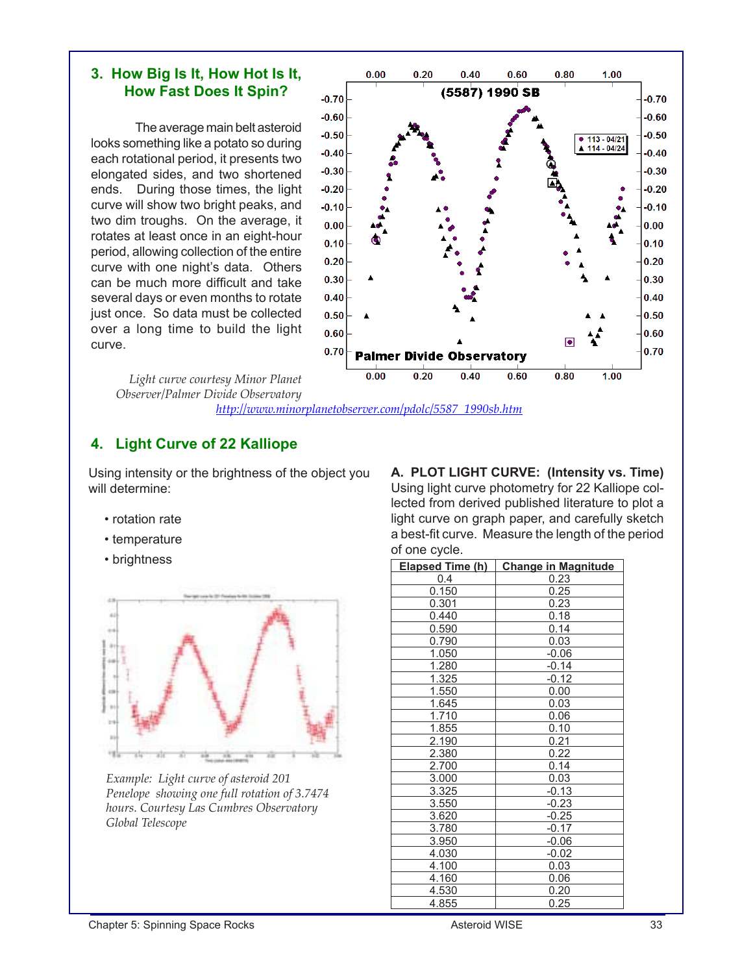## **3. How Big Is It, How Hot Is It, How Fast Does It Spin?**

The average main belt asteroid looks something like a potato so during each rotational period, it presents two elongated sides, and two shortened ends. During those times, the light curve will show two bright peaks, and two dim troughs. On the average, it rotates at least once in an eight-hour period, allowing collection of the entire curve with one night's data. Others can be much more difficult and take several days or even months to rotate just once. So data must be collected over a long time to build the light curve.



*Light curve courtesy Minor Planet Observer/Palmer Divide Observatory* 

*[http://www.minorplanetobserver.com/pdolc/5587\\_1990sb.htm](http://www.minorplanetobserver.com/pdolc/5587_1990sb.htm)*

# **4. Light Curve of 22 Kalliope**

Using intensity or the brightness of the object you will determine:

- rotation rate
- temperature
- brightness



*Example: Light curve of asteroid 201 Penelope showing one full rotation of 3.7474 hours. Courtesy Las Cumbres Observatory Global Telescope*

**A. PLOT LIGHT CURVE: (Intensity vs. Time)**  Using light curve photometry for 22 Kalliope collected from derived published literature to plot a light curve on graph paper, and carefully sketch a best-fit curve. Measure the length of the period of one cycle.

| Elapsed Time (h) | <b>Change in Magnitude</b> |  |  |
|------------------|----------------------------|--|--|
| 0.4              | 0.23                       |  |  |
| 0.150            | 0.25                       |  |  |
| 0.301            | 0.23                       |  |  |
| 0.440            | 0.18                       |  |  |
| 0.590            | 0.14                       |  |  |
| 0.790            | 0.03                       |  |  |
| 1.050            | $-0.06$                    |  |  |
| 1.280            | $-0.14$                    |  |  |
| 1.325            | $-0.12$                    |  |  |
| 1.550            | 0.00                       |  |  |
| 1.645            | 0.03                       |  |  |
| 1.710            | 0.06                       |  |  |
| 1.855            | 0.10                       |  |  |
| 2.190            | 0.21                       |  |  |
| 2.380            | 0.22                       |  |  |
| 2.700            | 0.14                       |  |  |
| 3.000            | 0.03                       |  |  |
| 3.325            | $-0.13$                    |  |  |
| 3.550            | $-0.23$                    |  |  |
| 3.620            | $-0.25$                    |  |  |
| 3.780            | $-0.17$                    |  |  |
| 3.950            | $-0.06$                    |  |  |
| 4.030            | $-0.02$                    |  |  |
| 4.100            | 0.03                       |  |  |
| 4.160            | 0.06                       |  |  |
| 4.530            | 0.20                       |  |  |
| 4.855            | 0.25                       |  |  |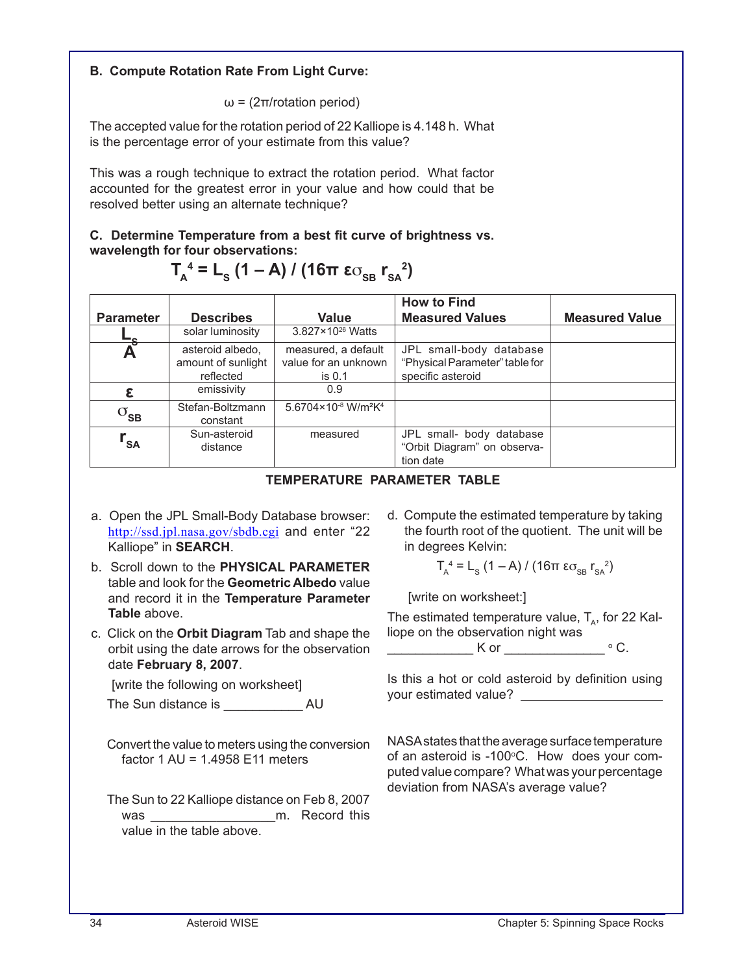#### **B. Compute Rotation Rate From Light Curve:**

ω = (2π/rotation period)

The accepted value for the rotation period of 22 Kalliope is 4.148 h. What is the percentage error of your estimate from this value?

This was a rough technique to extract the rotation period. What factor accounted for the greatest error in your value and how could that be resolved better using an alternate technique?

#### **C. Determine Temperature from a best fit curve of brightness vs. wavelength for four observations:**

 $T_A^4$  = L<sub>S</sub> (1 – A) / (16π ε $\sigma_{SB}$  r<sub>SA</sub><sup>2</sup>)

|                      |                                                     |                                                         | <b>How to Find</b>                                                             |                       |
|----------------------|-----------------------------------------------------|---------------------------------------------------------|--------------------------------------------------------------------------------|-----------------------|
| <b>Parameter</b>     | <b>Describes</b>                                    | <b>Value</b>                                            | <b>Measured Values</b>                                                         | <b>Measured Value</b> |
|                      | solar luminosity                                    | $3.827\times10^{26}$ Watts                              |                                                                                |                       |
|                      | asteroid albedo,<br>amount of sunlight<br>reflected | measured, a default<br>value for an unknown<br>is $0.1$ | JPL small-body database<br>"Physical Parameter" table for<br>specific asteroid |                       |
|                      | emissivity                                          | 0.9                                                     |                                                                                |                       |
| $\sigma_{\text{SB}}$ | Stefan-Boltzmann<br>constant                        | 5.6704×10 <sup>-8</sup> W/m <sup>2</sup> K <sup>4</sup> |                                                                                |                       |
| $r_{\rm SA}$         | Sun-asteroid<br>distance                            | measured                                                | JPL small- body database<br>"Orbit Diagram" on observa-<br>tion date           |                       |

**TEMPERATURE PARAMETER TABLE**

- a. Open the JPL Small-Body Database browser: <http://ssd.jpl.nasa.gov/sbdb.cgi> and enter "22 Kalliope" in **SEARCH**.
- b. Scroll down to the **PHYSICAL PARAMETER** table and look for the **Geometric Albedo** value and record it in the **Temperature Parameter Table** above.
- c. Click on the **Orbit Diagram** Tab and shape the orbit using the date arrows for the observation date **February 8, 2007**.

[write the following on worksheet]

The Sun distance is \_\_\_\_\_\_\_\_\_\_\_ AU

Convert the value to meters using the conversion factor 1 AU = 1.4958 E11 meters

The Sun to 22 Kalliope distance on Feb 8, 2007 was \_\_\_\_\_\_\_\_\_\_\_\_\_\_\_\_\_m. Record this value in the table above.

d. Compute the estimated temperature by taking the fourth root of the quotient. The unit will be in degrees Kelvin:

 $T_A^4$  = L<sub>s</sub> (1 – A) / (16π ε $\sigma_{SB}$  r<sub>SA</sub><sup>2</sup>)

[write on worksheet:]

The estimated temperature value,  $T_{A}$ , for 22 Kalliope on the observation night was

\_\_\_\_\_\_\_\_\_\_\_\_ K or \_\_\_\_\_\_\_\_\_\_\_\_\_\_ <sup>o</sup> C.

Is this a hot or cold asteroid by definition using your estimated value?

NASA states that the average surface temperature of an asteroid is -100°C. How does your computed value compare? What was your percentage deviation from NASA's average value?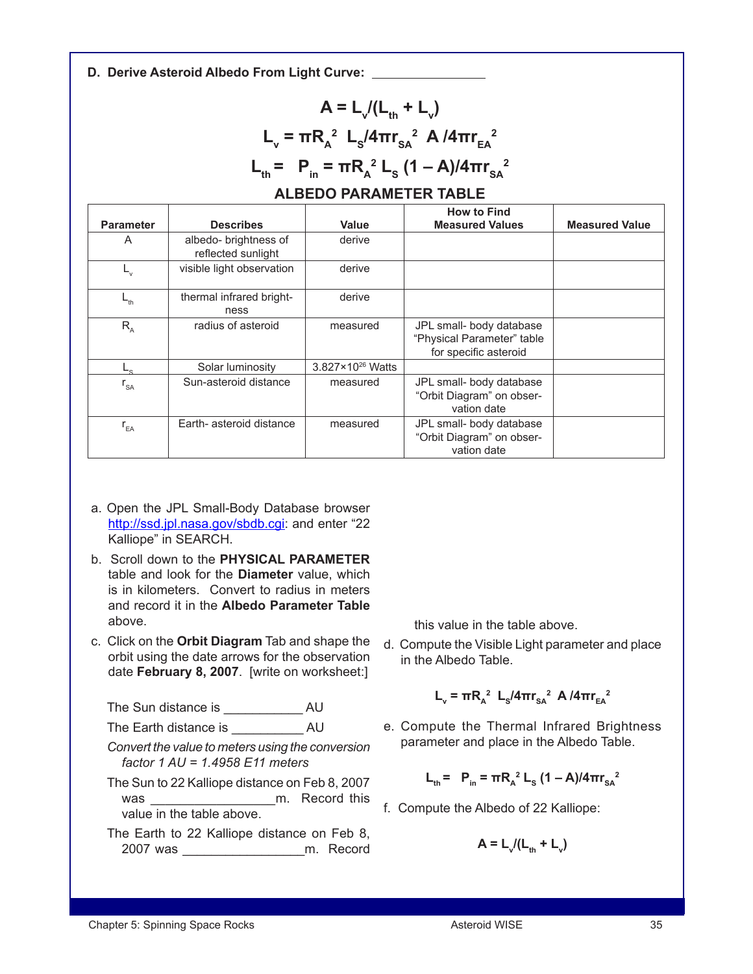**D. Derive Asteroid Albedo From Light Curve:** 

# $A = L_v / (L_{th} + L_v)$  $L_v = \pi R_A^2$   $L_s / 4 \pi r_{SA}^2$  A  $/ 4 \pi r_{EA}^2$  $L_{\text{th}}$ =  $P_{\text{in}}$  =  $\pi R_{\text{A}}^2 L_{\text{S}}$  (1 – A)/4 $\pi r_{\text{SA}}^2$ **ALBEDO PARAMETER TABLE**

| <b>Parameter</b>           | <b>Describes</b>                            | Value                        | <b>How to Find</b><br><b>Measured Values</b>                                    | <b>Measured Value</b> |
|----------------------------|---------------------------------------------|------------------------------|---------------------------------------------------------------------------------|-----------------------|
| A                          | albedo- brightness of<br>reflected sunlight | derive                       |                                                                                 |                       |
|                            | visible light observation                   | derive                       |                                                                                 |                       |
|                            | thermal infrared bright-<br>ness            | derive                       |                                                                                 |                       |
| $R_{\rm A}$                | radius of asteroid                          | measured                     | JPL small- body database<br>"Physical Parameter" table<br>for specific asteroid |                       |
|                            | Solar luminosity                            | $3.827 \times 10^{26}$ Watts |                                                                                 |                       |
| $\mathsf{r}_{\mathsf{SA}}$ | Sun-asteroid distance                       | measured                     | JPL small- body database<br>"Orbit Diagram" on obser-<br>vation date            |                       |
| $r_{EA}$                   | Earth- asteroid distance                    | measured                     | JPL small- body database<br>"Orbit Diagram" on obser-<br>vation date            |                       |

- a. Open the JPL Small-Body Database browser [http://ssd.jpl.nasa.gov/sbdb.cgi:](http://ssd.jpl.nasa.gov/sbdb.cgi) and enter "22" Kalliope" in SEARCH.
- b. Scroll down to the **PHYSICAL PARAMETER** table and look for the **Diameter** value, which is in kilometers. Convert to radius in meters and record it in the **Albedo Parameter Table** above.
- c. Click on the **Orbit Diagram** Tab and shape the orbit using the date arrows for the observation date **February 8, 2007**. [write on worksheet:]

The Sun distance is \_\_\_\_\_\_\_\_\_\_\_\_\_\_ AU

The Earth distance is \_\_\_\_\_\_\_\_\_\_ AU

*Convert the value to meters using the conversion factor 1 AU = 1.4958 E11 meters* 

The Sun to 22 Kalliope distance on Feb 8, 2007 was **was m.** Record this value in the table above.

The Earth to 22 Kalliope distance on Feb 8, 2007 was \_\_\_\_\_\_\_\_\_\_\_\_\_\_\_\_\_m. Record this value in the table above.

d. Compute the Visible Light parameter and place in the Albedo Table.

$$
L_{v} = \pi R_{A}^{2} L_{s} / 4 \pi r_{SA}^{2} A / 4 \pi r_{EA}^{2}
$$

e. Compute the Thermal Infrared Brightness parameter and place in the Albedo Table.

$$
L_{\rm th} = P_{\rm in} = \pi R_{\rm A}^2 L_{\rm s} (1 - A)/4 \pi r_{\rm SA}^2
$$

f. Compute the Albedo of 22 Kalliope:

$$
A = L_v / (L_{\rm th} + L_v)
$$